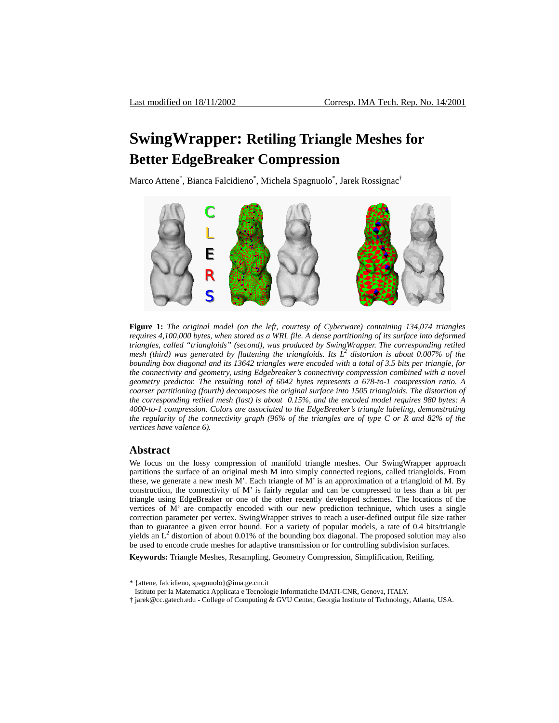# **SwingWrapper: Retiling Triangle Meshes for Better EdgeBreaker Compression**

Marco Attene<sup>\*</sup>, Bianca Falcidieno<sup>\*</sup>, Michela Spagnuolo<sup>\*</sup>, Jarek Rossignac<sup>†</sup>

<span id="page-0-0"></span>

**Figure 1:** *The original model (on the left, courtesy of Cyberware) containing 134,074 triangles requires 4,100,000 bytes, when stored as a WRL file. A dense partitioning of its surface into deformed triangles, called "triangloids" (second), was produced by SwingWrapper. The corresponding retiled*  mesh (third) was generated by flattening the triangloids. Its  $L^2$  distortion is about 0.007% of the *bounding box diagonal and its 13642 triangles were encoded with a total of 3.5 bits per triangle, for the connectivity and geometry, using Edgebreaker's connectivity compression combined with a novel geometry predictor. The resulting total of 6042 bytes represents a 678-to-1 compression ratio. A coarser partitioning (fourth) decomposes the original surface into 1505 triangloids. The distortion of the corresponding retiled mesh (last) is about 0.15%, and the encoded model requires 980 bytes: A 4000-to-1 compression. Colors are associated to the EdgeBreaker's triangle labeling, demonstrating the regularity of the connectivity graph (96% of the triangles are of type C or R and 82% of the vertices have valence 6).* 

#### **Abstract**

We focus on the lossy compression of manifold triangle meshes. Our SwingWrapper approach partitions the surface of an original mesh M into simply connected regions, called triangloids. From these, we generate a new mesh M'. Each triangle of M' is an approximation of a triangloid of M. By construction, the connectivity of M' is fairly regular and can be compressed to less than a bit per triangle using EdgeBreaker or one of the other recently developed schemes. The locations of the vertices of M' are compactly encoded with our new prediction technique, which uses a single correction parameter per vertex. SwingWrapper strives to reach a user-defined output file size rather than to guarantee a given error bound. For a variety of popular models, a rate of 0.4 bits/triangle yields an  $L^2$  distortion of about 0.01% of the bounding box diagonal. The proposed solution may also be used to encode crude meshes for adaptive transmission or for controlling subdivision surfaces.

**Keywords:** Triangle Meshes, Resampling, Geometry Compression, Simplification, Retiling.

- Istituto per la Matematica Applicata e Tecnologie Informatiche IMATI-CNR, Genova, ITALY.
- † jarek@cc.gatech.edu College of Computing & GVU Center, Georgia Institute of Technology, Atlanta, USA.

<sup>\* {</sup>attene, falcidieno, spagnuolo}@ima.ge.cnr.it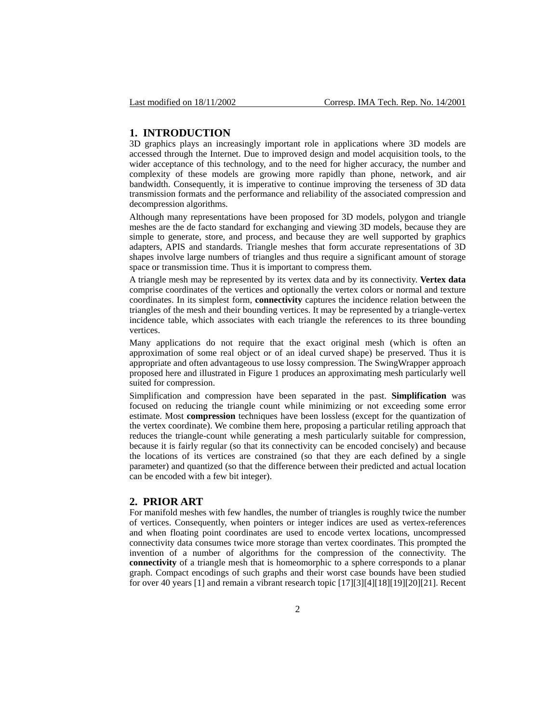### **1. INTRODUCTION**

3D graphics plays an increasingly important role in applications where 3D models are accessed through the Internet. Due to improved design and model acquisition tools, to the wider acceptance of this technology, and to the need for higher accuracy, the number and complexity of these models are growing more rapidly than phone, network, and air bandwidth. Consequently, it is imperative to continue improving the terseness of 3D data transmission formats and the performance and reliability of the associated compression and decompression algorithms.

Although many representations have been proposed for 3D models, polygon and triangle meshes are the de facto standard for exchanging and viewing 3D models, because they are simple to generate, store, and process, and because they are well supported by graphics adapters, APIS and standards. Triangle meshes that form accurate representations of 3D shapes involve large numbers of triangles and thus require a significant amount of storage space or transmission time. Thus it is important to compress them.

A triangle mesh may be represented by its vertex data and by its connectivity. **Vertex data** comprise coordinates of the vertices and optionally the vertex colors or normal and texture coordinates. In its simplest form, **connectivity** captures the incidence relation between the triangles of the mesh and their bounding vertices. It may be represented by a triangle-vertex incidence table, which associates with each triangle the references to its three bounding vertices.

Many applications do not require that the exact original mesh (which is often an approximation of some real object or of an ideal curved shape) be preserved. Thus it is appropriate and often advantageous to use lossy compression. The SwingWrapper approach proposed here and illustrated in [Figure 1](#page-0-0) produces an approximating mesh particularly well suited for compression.

Simplification and compression have been separated in the past. **Simplification** was focused on reducing the triangle count while minimizing or not exceeding some error estimate. Most **compression** techniques have been lossless (except for the quantization of the vertex coordinate). We combine them here, proposing a particular retiling approach that reduces the triangle-count while generating a mesh particularly suitable for compression, because it is fairly regular (so that its connectivity can be encoded concisely) and because the locations of its vertices are constrained (so that they are each defined by a single parameter) and quantized (so that the difference between their predicted and actual location can be encoded with a few bit integer).

# **2. PRIOR ART**

For manifold meshes with few handles, the number of triangles is roughly twice the number of vertices. Consequently, when pointers or integer indices are used as vertex-references and when floating point coordinates are used to encode vertex locations, uncompressed connectivity data consumes twice more storage than vertex coordinates. This prompted the invention of a number of algorithms for the compression of the connectivity. The **connectivity** of a triangle mesh that is homeomorphic to a sphere corresponds to a planar graph. Compact encodings of such graphs and their worst case bounds have been studied for over 40 years [\[1\]](#page-15-0) and remain a vibrant research topic [\[17\]](#page-15-1)[\[3\]](#page-15-2)[\[4\]](#page-15-3)[\[18\]](#page-15-4)[\[19\]](#page-16-0)[\[20\]](#page-16-1)[\[21\].](#page-16-2) Recent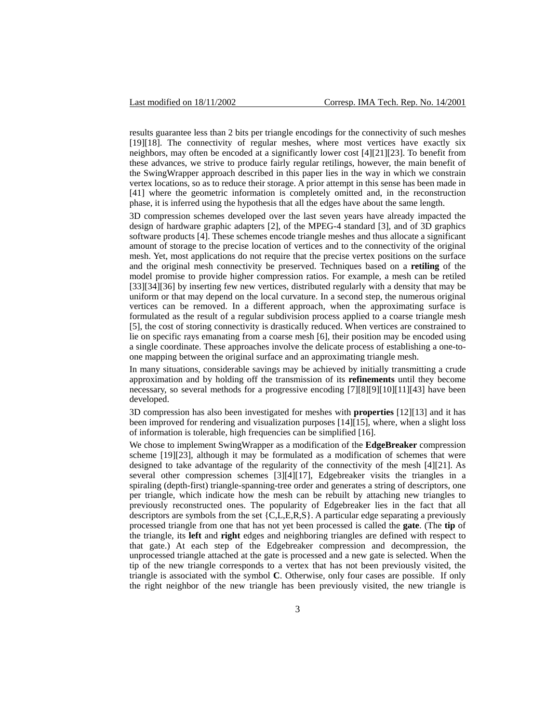results guarantee less than 2 bits per triangle encodings for the connectivity of such meshes [\[19\]](#page-16-0)[\[18\].](#page-15-4) The connectivity of regular meshes, where most vertices have exactly six neighbors, may often be encoded at a significantly lower cost [\[4\]](#page-15-3)[\[21\]](#page-16-2)[\[23\].](#page-16-3) To benefit from these advances, we strive to produce fairly regular retilings, however, the main benefit of the SwingWrapper approach described in this paper lies in the way in which we constrain vertex locations, so as to reduce their storage. A prior attempt in this sense has been made in [\[41\]](#page-17-0) where the geometric information is completely omitted and, in the reconstruction phase, it is inferred using the hypothesis that all the edges have about the same length.

3D compression schemes developed over the last seven years have already impacted the design of hardware graphic adapters [\[2\],](#page-15-5) of the MPEG-4 standard [\[3\],](#page-15-2) and of 3D graphics software products [\[4\].](#page-15-3) These schemes encode triangle meshes and thus allocate a significant amount of storage to the precise location of vertices and to the connectivity of the original mesh. Yet, most applications do not require that the precise vertex positions on the surface and the original mesh connectivity be preserved. Techniques based on a **retiling** of the model promise to provide higher compression ratios. For example, a mesh can be retiled [\[33\]](#page-16-4)[\[34\]](#page-16-5)[\[36\]](#page-16-6) by inserting few new vertices, distributed regularly with a density that may be uniform or that may depend on the local curvature. In a second step, the numerous original vertices can be removed. In a different approach, when the approximating surface is formulated as the result of a regular subdivision process applied to a coarse triangle mesh [\[5\],](#page-15-6) the cost of storing connectivity is drastically reduced. When vertices are constrained to lie on specific rays emanating from a coarse mesh [\[6\],](#page-15-7) their position may be encoded using a single coordinate. These approaches involve the delicate process of establishing a one-toone mapping between the original surface and an approximating triangle mesh.

In many situations, considerable savings may be achieved by initially transmitting a crude approximation and by holding off the transmission of its **refinements** until they become necessary, so several methods for a progressive encoding [\[7\]](#page-15-8)[\[8\]](#page-15-9)[\[9\]](#page-15-10)[\[10\]](#page-15-11)[\[11\]](#page-15-12)[\[43\]](#page-17-1) have been developed.

3D compression has also been investigated for meshes with **properties** [\[12\]](#page-15-13)[\[13\]](#page-15-14) and it has been improved for rendering and visualization purposes [\[14\]](#page-15-15)[\[15\],](#page-15-16) where, when a slight loss of information is tolerable, high frequencies can be simplified [\[16\].](#page-15-17)

We chose to implement SwingWrapper as a modification of the **EdgeBreaker** compression scheme [\[19\]](#page-16-0)[\[23\],](#page-16-3) although it may be formulated as a modification of schemes that were designed to take advantage of the regularity of the connectivity of the mesh [\[4\]](#page-15-3)[\[21\].](#page-16-2) As several other compression schemes [\[3\]](#page-15-2)[\[4\]](#page-15-3)[\[17\],](#page-15-1) Edgebreaker visits the triangles in a spiraling (depth-first) triangle-spanning-tree order and generates a string of descriptors, one per triangle, which indicate how the mesh can be rebuilt by attaching new triangles to previously reconstructed ones. The popularity of Edgebreaker lies in the fact that all descriptors are symbols from the set  ${C, L, E, R, S}$ . A particular edge separating a previously processed triangle from one that has not yet been processed is called the **gate**. (The **tip** of the triangle, its **left** and **right** edges and neighboring triangles are defined with respect to that gate.) At each step of the Edgebreaker compression and decompression, the unprocessed triangle attached at the gate is processed and a new gate is selected. When the tip of the new triangle corresponds to a vertex that has not been previously visited, the triangle is associated with the symbol **C**. Otherwise, only four cases are possible. If only the right neighbor of the new triangle has been previously visited, the new triangle is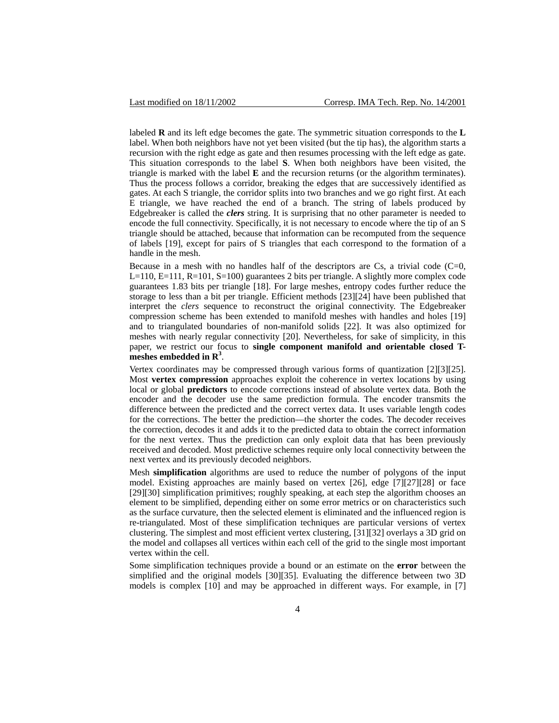labeled **R** and its left edge becomes the gate. The symmetric situation corresponds to the **L** label. When both neighbors have not yet been visited (but the tip has), the algorithm starts a recursion with the right edge as gate and then resumes processing with the left edge as gate. This situation corresponds to the label **S**. When both neighbors have been visited, the triangle is marked with the label **E** and the recursion returns (or the algorithm terminates). Thus the process follows a corridor, breaking the edges that are successively identified as gates. At each S triangle, the corridor splits into two branches and we go right first. At each E triangle, we have reached the end of a branch. The string of labels produced by Edgebreaker is called the *clers* string. It is surprising that no other parameter is needed to encode the full connectivity. Specifically, it is not necessary to encode where the tip of an S triangle should be attached, because that information can be recomputed from the sequence of labels [\[19\],](#page-16-0) except for pairs of S triangles that each correspond to the formation of a handle in the mesh.

Because in a mesh with no handles half of the descriptors are  $Cs$ , a trivial code  $(C=0, 1)$ L=110, E=111, R=101, S=100) guarantees 2 bits per triangle. A slightly more complex code guarantees 1.83 bits per triangle [\[18\].](#page-15-4) For large meshes, entropy codes further reduce the storage to less than a bit per triangle. Efficient methods [\[23\]](#page-16-3)[\[24\]](#page-16-7) have been published that interpret the *clers* sequence to reconstruct the original connectivity. The Edgebreaker compression scheme has been extended to manifold meshes with handles and holes [\[19\]](#page-16-0) and to triangulated boundaries of non-manifold solids [\[22\].](#page-16-8) It was also optimized for meshes with nearly regular connectivity [\[20\].](#page-16-1) Nevertheless, for sake of simplicity, in this paper, we restrict our focus to **single component manifold and orientable closed T**meshes embedded in R<sup>3</sup>.

Vertex coordinates may be compressed through various forms of quantization [\[2\]](#page-15-5)[\[3\]](#page-15-2)[\[25\].](#page-16-9) Most **vertex compression** approaches exploit the coherence in vertex locations by using local or global **predictors** to encode corrections instead of absolute vertex data. Both the encoder and the decoder use the same prediction formula. The encoder transmits the difference between the predicted and the correct vertex data. It uses variable length codes for the corrections. The better the prediction—the shorter the codes. The decoder receives the correction, decodes it and adds it to the predicted data to obtain the correct information for the next vertex. Thus the prediction can only exploit data that has been previously received and decoded. Most predictive schemes require only local connectivity between the next vertex and its previously decoded neighbors.

Mesh **simplification** algorithms are used to reduce the number of polygons of the input model. Existing approaches are mainly based on vertex [\[26\],](#page-16-10) edge [\[7\]](#page-15-8)[\[27\]](#page-16-11)[\[28\]](#page-16-12) or face [\[29\]](#page-16-13)[\[30\]](#page-16-14) simplification primitives; roughly speaking, at each step the algorithm chooses an element to be simplified, depending either on some error metrics or on characteristics such as the surface curvature, then the selected element is eliminated and the influenced region is re-triangulated. Most of these simplification techniques are particular versions of vertex clustering. The simplest and most efficient vertex clustering, [\[31\]](#page-16-15)[\[32\]](#page-16-16) overlays a 3D grid on the model and collapses all vertices within each cell of the grid to the single most important vertex within the cell.

Some simplification techniques provide a bound or an estimate on the **error** between the simplified and the original models [\[30\]](#page-16-14)[\[35\].](#page-16-17) Evaluating the difference between two 3D models is complex [\[10\]](#page-15-11) and may be approached in different ways. For example, in [\[7\]](#page-15-8)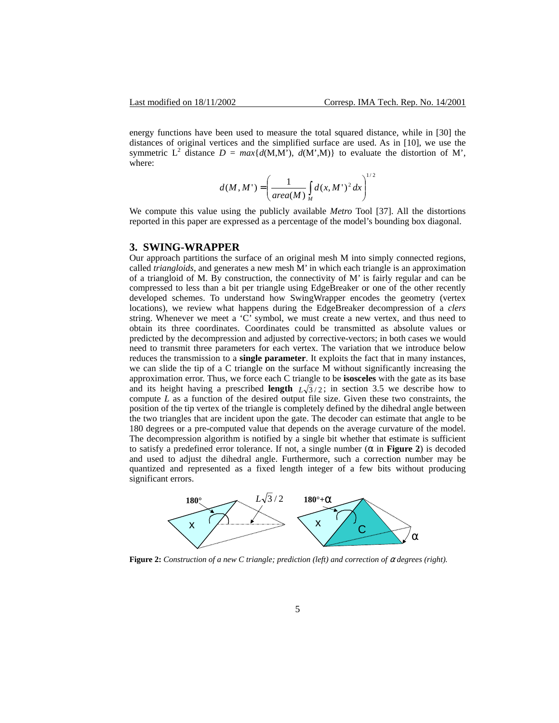energy functions have been used to measure the total squared distance, while in [\[30\]](#page-16-14) the distances of original vertices and the simplified surface are used. As in [\[10\],](#page-15-11) we use the symmetric L<sup>2</sup> distance  $D = max{d(M,M), d(M',M)}$  to evaluate the distortion of M', where:

$$
d(M, M') = \left(\frac{1}{area(M)} \int_{M} d(x, M')^{2} dx\right)^{1/2}
$$

We compute this value using the publicly available *Metro* Tool [\[37\].](#page-16-18) All the distortions reported in this paper are expressed as a percentage of the model's bounding box diagonal.

### **3. SWING-WRAPPER**

Our approach partitions the surface of an original mesh M into simply connected regions, called *triangloids*, and generates a new mesh M' in which each triangle is an approximation of a triangloid of M. By construction, the connectivity of M' is fairly regular and can be compressed to less than a bit per triangle using EdgeBreaker or one of the other recently developed schemes. To understand how SwingWrapper encodes the geometry (vertex locations), we review what happens during the EdgeBreaker decompression of a *clers* string. Whenever we meet a 'C' symbol, we must create a new vertex, and thus need to obtain its three coordinates. Coordinates could be transmitted as absolute values or predicted by the decompression and adjusted by corrective-vectors; in both cases we would need to transmit three parameters for each vertex. The variation that we introduce below reduces the transmission to a **single parameter**. It exploits the fact that in many instances, we can slide the tip of a C triangle on the surface M without significantly increasing the approximation error. Thus, we force each C triangle to be **isosceles** with the gate as its base and its height having a prescribed **length**  $L\sqrt{3}/2$ ; in section [3.5](#page-9-0) we describe how to compute *L* as a function of the desired output file size. Given these two constraints, the position of the tip vertex of the triangle is completely defined by the dihedral angle between the two triangles that are incident upon the gate. The decoder can estimate that angle to be 180 degrees or a pre-computed value that depends on the average curvature of the model. The decompression algorithm is notified by a single bit whether that estimate is sufficient to satisfy a predefined error tolerance. If not, a single number  $(\alpha$  in **[Figure 2](#page-4-0)**) is decoded and used to adjust the dihedral angle. Furthermore, such a correction number may be quantized and represented as a fixed length integer of a few bits without producing significant errors.

<span id="page-4-0"></span>

**Figure 2:** *Construction of a new C triangle; prediction (left) and correction of* α *degrees (right).*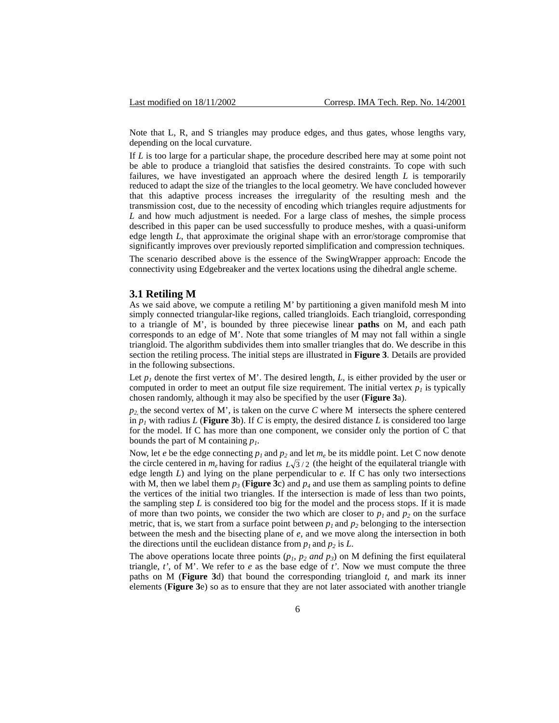Note that L, R, and S triangles may produce edges, and thus gates, whose lengths vary, depending on the local curvature.

If *L* is too large for a particular shape, the procedure described here may at some point not be able to produce a triangloid that satisfies the desired constraints. To cope with such failures, we have investigated an approach where the desired length *L* is temporarily reduced to adapt the size of the triangles to the local geometry. We have concluded however that this adaptive process increases the irregularity of the resulting mesh and the transmission cost, due to the necessity of encoding which triangles require adjustments for *L* and how much adjustment is needed. For a large class of meshes, the simple process described in this paper can be used successfully to produce meshes, with a quasi-uniform edge length *L*, that approximate the original shape with an error/storage compromise that significantly improves over previously reported simplification and compression techniques. The scenario described above is the essence of the SwingWrapper approach: Encode the

connectivity using Edgebreaker and the vertex locations using the dihedral angle scheme.

# **3.1 Retiling M**

As we said above, we compute a retiling M' by partitioning a given manifold mesh M into simply connected triangular-like regions, called triangloids. Each triangloid, corresponding to a triangle of M', is bounded by three piecewise linear **paths** on M, and each path corresponds to an edge of M'. Note that some triangles of M may not fall within a single triangloid. The algorithm subdivides them into smaller triangles that do. We describe in this section the retiling process. The initial steps are illustrated in **[Figure 3](#page-6-0)**. Details are provided in the following subsections.

Let  $p_1$  denote the first vertex of M'. The desired length,  $L$ , is either provided by the user or computed in order to meet an output file size requirement. The initial vertex  $p_l$  is typically chosen randomly, although it may also be specified by the user (**[Figure 3](#page-6-0)**a).

 $p_2$  the second vertex of M', is taken on the curve *C* where M intersects the sphere centered in  $p_1$  with radius *L* (**[Figure 3](#page-6-0)**b). If *C* is empty, the desired distance *L* is considered too large for the model. If C has more than one component, we consider only the portion of C that bounds the part of M containing *p1*.

Now, let *e* be the edge connecting  $p_1$  and  $p_2$  and let  $m_e$  be its middle point. Let C now denote the circle centered in  $m_e$  having for radius  $L\sqrt{3}/2$  (the height of the equilateral triangle with edge length *L*) and lying on the plane perpendicular to *e.* If C has only two intersections with M, then we label them  $p_3$  (**[Figure 3](#page-6-0)**c) and  $p_4$  and use them as sampling points to define the vertices of the initial two triangles. If the intersection is made of less than two points, the sampling step  $L$  is considered too big for the model and the process stops. If it is made of more than two points, we consider the two which are closer to  $p_1$  and  $p_2$  on the surface metric, that is, we start from a surface point between  $p_1$  and  $p_2$  belonging to the intersection between the mesh and the bisecting plane of *e*, and we move along the intersection in both the directions until the euclidean distance from  $p_1$  and  $p_2$  is *L*.

The above operations locate three points  $(p_1, p_2 \text{ and } p_3)$  on M defining the first equilateral triangle, *t'*, of M'. We refer to *e* as the base edge of *t'*. Now we must compute the three paths on M (**[Figure 3](#page-6-0)**d) that bound the corresponding triangloid *t*, and mark its inner elements (**[Figure 3](#page-6-0)**e) so as to ensure that they are not later associated with another triangle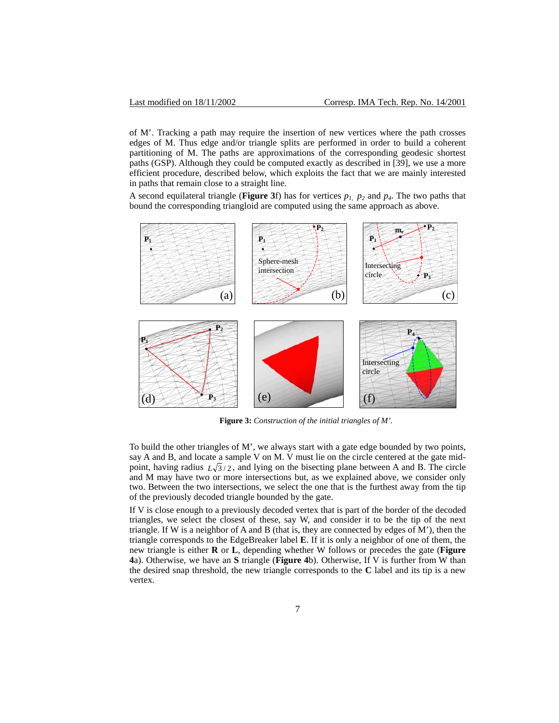of M'. Tracking a path may require the insertion of new vertices where the path crosses edges of M. Thus edge and/or triangle splits are performed in order to build a coherent partitioning of M. The paths are approximations of the corresponding geodesic shortest paths (GSP). Although they could be computed exactly as described in [\[39\],](#page-16-19) we use a more efficient procedure, described below, which exploits the fact that we are mainly interested in paths that remain close to a straight line.

A second equilateral triangle (**[Figure 3](#page-6-0)**f) has for vertices  $p_1$ ,  $p_2$  and  $p_4$ . The two paths that bound the corresponding triangloid are computed using the same approach as above.



<span id="page-6-0"></span>**Figure 3:** *Construction of the initial triangles of M'.*

To build the other triangles of M', we always start with a gate edge bounded by two points, say A and B, and locate a sample V on M. V must lie on the circle centered at the gate midpoint, having radius  $L\sqrt{3}/2$ , and lying on the bisecting plane between A and B. The circle and M may have two or more intersections but, as we explained above, we consider only two. Between the two intersections, we select the one that is the furthest away from the tip of the previously decoded triangle bounded by the gate.

If V is close enough to a previously decoded vertex that is part of the border of the decoded triangles, we select the closest of these, say W, and consider it to be the tip of the next triangle. If W is a neighbor of A and B (that is, they are connected by edges of M'), then the triangle corresponds to the EdgeBreaker label **E**. If it is only a neighbor of one of them, the new triangle is either **R** or **L**, depending whether W follows or precedes the gate (**[Figure](#page-7-0) [4](#page-7-0)**a). Otherwise, we have an **S** triangle (**[Figure 4](#page-7-0)**b). Otherwise, If V is further from W than the desired snap threshold, the new triangle corresponds to the **C** label and its tip is a new vertex.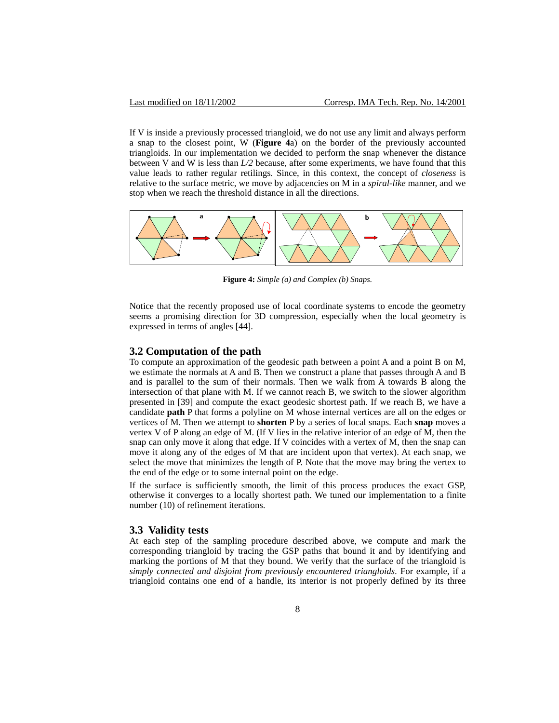If V is inside a previously processed triangloid, we do not use any limit and always perform a snap to the closest point, W (**[Figure 4](#page-7-0)**a) on the border of the previously accounted triangloids. In our implementation we decided to perform the snap whenever the distance between V and W is less than *L/2* because, after some experiments, we have found that this value leads to rather regular retilings. Since, in this context, the concept of *closeness* is relative to the surface metric, we move by adjacencies on M in a *spiral-like* manner, and we stop when we reach the threshold distance in all the directions.



<span id="page-7-0"></span>**Figure 4:** *Simple (a) and Complex (b) Snaps.* 

Notice that the recently proposed use of local coordinate systems to encode the geometry seems a promising direction for 3D compression, especially when the local geometry is expressed in terms of angles [\[44\].](#page-17-2)

#### **3.2 Computation of the path**

To compute an approximation of the geodesic path between a point A and a point B on M, we estimate the normals at A and B. Then we construct a plane that passes through A and B and is parallel to the sum of their normals. Then we walk from A towards B along the intersection of that plane with M. If we cannot reach B, we switch to the slower algorithm presented in [\[39\]](#page-16-19) and compute the exact geodesic shortest path. If we reach B, we have a candidate **path** P that forms a polyline on M whose internal vertices are all on the edges or vertices of M. Then we attempt to **shorten** P by a series of local snaps. Each **snap** moves a vertex V of P along an edge of M. (If V lies in the relative interior of an edge of M, then the snap can only move it along that edge. If V coincides with a vertex of M, then the snap can move it along any of the edges of M that are incident upon that vertex). At each snap, we select the move that minimizes the length of P. Note that the move may bring the vertex to the end of the edge or to some internal point on the edge.

If the surface is sufficiently smooth, the limit of this process produces the exact GSP, otherwise it converges to a locally shortest path. We tuned our implementation to a finite number (10) of refinement iterations.

#### **3.3 Validity tests**

At each step of the sampling procedure described above, we compute and mark the corresponding triangloid by tracing the GSP paths that bound it and by identifying and marking the portions of M that they bound. We verify that the surface of the triangloid is *simply connected and disjoint from previously encountered triangloids*. For example, if a triangloid contains one end of a handle, its interior is not properly defined by its three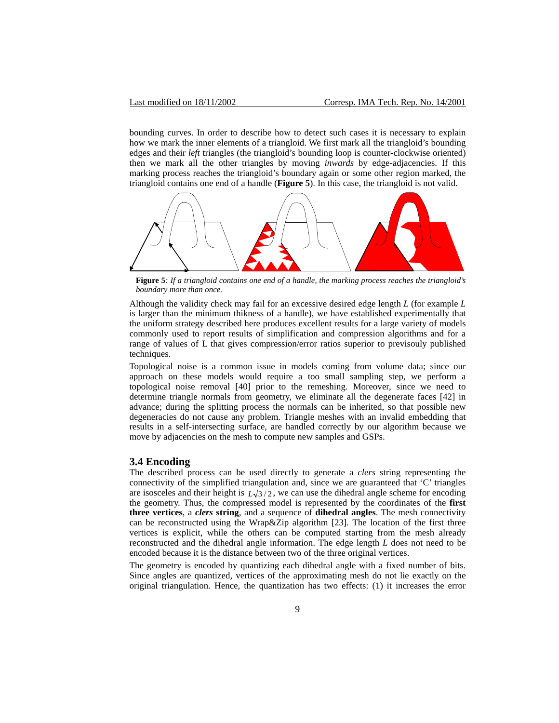bounding curves. In order to describe how to detect such cases it is necessary to explain how we mark the inner elements of a triangloid. We first mark all the triangloid's bounding edges and their *left* triangles (the triangloid's bounding loop is counter-clockwise oriented) then we mark all the other triangles by moving *inwards* by edge-adjacencies. If this marking process reaches the triangloid's boundary again or some other region marked, the triangloid contains one end of a handle (**[Figure 5](#page-8-0)**). In this case, the triangloid is not valid.

<span id="page-8-0"></span>

**Figure 5***: If a triangloid contains one end of a handle, the marking process reaches the triangloid's boundary more than once.*

Although the validity check may fail for an excessive desired edge length *L* (for example *L* is larger than the minimum thikness of a handle), we have established experimentally that the uniform strategy described here produces excellent results for a large variety of models commonly used to report results of simplification and compression algorithms and for a range of values of L that gives compression/error ratios superior to previsouly published techniques.

Topological noise is a common issue in models coming from volume data; since our approach on these models would require a too small sampling step, we perform a topological noise removal [\[40\]](#page-17-3) prior to the remeshing. Moreover, since we need to determine triangle normals from geometry, we eliminate all the degenerate faces [\[42\]](#page-17-4) in advance; during the splitting process the normals can be inherited, so that possible new degeneracies do not cause any problem. Triangle meshes with an invalid embedding that results in a self-intersecting surface, are handled correctly by our algorithm because we move by adjacencies on the mesh to compute new samples and GSPs.

## **3.4 Encoding**

The described process can be used directly to generate a *clers* string representing the connectivity of the simplified triangulation and, since we are guaranteed that 'C' triangles are isosceles and their height is  $L\sqrt{3}/2$ , we can use the dihedral angle scheme for encoding the geometry. Thus, the compressed model is represented by the coordinates of the **first three vertices**, a *clers* **string**, and a sequence of **dihedral angles**. The mesh connectivity can be reconstructed using the Wrap&Zip algorithm [\[23\].](#page-16-3) The location of the first three vertices is explicit, while the others can be computed starting from the mesh already reconstructed and the dihedral angle information. The edge length *L* does not need to be encoded because it is the distance between two of the three original vertices.

The geometry is encoded by quantizing each dihedral angle with a fixed number of bits. Since angles are quantized, vertices of the approximating mesh do not lie exactly on the original triangulation. Hence, the quantization has two effects: (1) it increases the error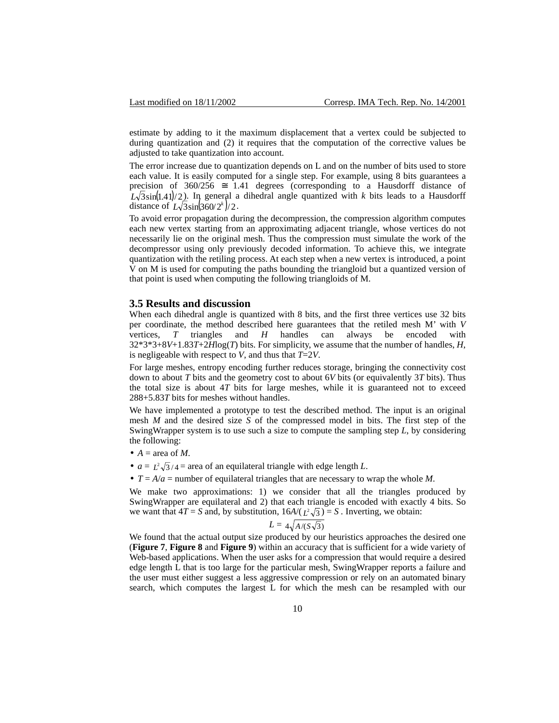estimate by adding to it the maximum displacement that a vertex could be subjected to during quantization and (2) it requires that the computation of the corrective values be adjusted to take quantization into account.

The error increase due to quantization depends on L and on the number of bits used to store each value. It is easily computed for a single step. For example, using 8 bits guarantees a precision of  $360/256 \approx 1.41$  degrees (corresponding to a Hausdorff distance of  $L\sqrt{3}\sin(1.41)/2$ ). In general a dihedral angle quantized with *k* bits leads to a Hausdorff distance of  $L\sqrt{3}\sin(360/2^{k})/2$ .

To avoid error propagation during the decompression, the compression algorithm computes each new vertex starting from an approximating adjacent triangle, whose vertices do not necessarily lie on the original mesh. Thus the compression must simulate the work of the decompressor using only previously decoded information. To achieve this, we integrate quantization with the retiling process. At each step when a new vertex is introduced, a point V on M is used for computing the paths bounding the triangloid but a quantized version of that point is used when computing the following triangloids of M.

### <span id="page-9-0"></span>**3.5 Results and discussion**

When each dihedral angle is quantized with 8 bits, and the first three vertices use 32 bits per coordinate, the method described here guarantees that the retiled mesh M' with *V* vertices, *T* triangles and *H* handles can always be encoded with 32\*3\*3+8*V*+1.83*T*+2*H*log(*T*) bits. For simplicity, we assume that the number of handles, *H*, is negligeable with respect to *V*, and thus that *T*=2*V*.

For large meshes, entropy encoding further reduces storage, bringing the connectivity cost down to about *T* bits and the geometry cost to about 6*V* bits (or equivalently 3*T* bits). Thus the total size is about 4*T* bits for large meshes, while it is guaranteed not to exceed 288+5.83*T* bits for meshes without handles.

We have implemented a prototype to test the described method. The input is an original mesh *M* and the desired size *S* of the compressed model in bits. The first step of the SwingWrapper system is to use such a size to compute the sampling step *L*, by considering the following:

- $A = \text{area of } M$ .
- $a = L^2 \sqrt{3}/4$  = area of an equilateral triangle with edge length *L*.
- $T = A/a$  = number of equilateral triangles that are necessary to wrap the whole *M*.

We make two approximations: 1) we consider that all the triangles produced by SwingWrapper are equilateral and 2) that each triangle is encoded with exactly 4 bits. So we want that  $4T = S$  and, by substitution,  $16A/(L^2\sqrt{3}) = S$ . Inverting, we obtain:

$$
L = 4\sqrt{A/(S\sqrt{3})}
$$

We found that the actual output size produced by our heuristics approaches the desired one (**[Figure 7](#page-12-0)**, **[Figure 8](#page-12-1)** and **[Figure 9](#page-13-0)**) within an accuracy that is sufficient for a wide variety of Web-based applications. When the user asks for a compression that would require a desired edge length L that is too large for the particular mesh, SwingWrapper reports a failure and the user must either suggest a less aggressive compression or rely on an automated binary search, which computes the largest L for which the mesh can be resampled with our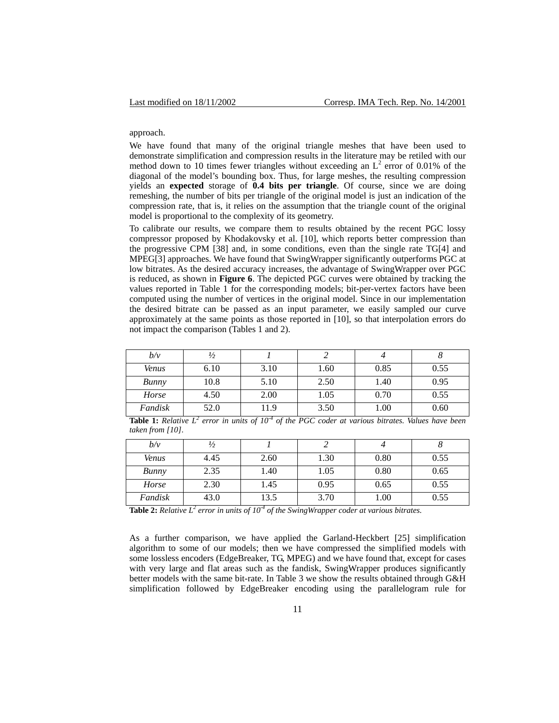#### approach.

We have found that many of the original triangle meshes that have been used to demonstrate simplification and compression results in the literature may be retiled with our method down to 10 times fewer triangles without exceeding an  $L^2$  error of 0.01% of the diagonal of the model's bounding box. Thus, for large meshes, the resulting compression yields an **expected** storage of **0.4 bits per triangle**. Of course, since we are doing remeshing, the number of bits per triangle of the original model is just an indication of the compression rate, that is, it relies on the assumption that the triangle count of the original model is proportional to the complexity of its geometry.

To calibrate our results, we compare them to results obtained by the recent PGC lossy compressor proposed by Khodakovsky et al. [\[10\],](#page-15-11) which reports better compression than the progressive CPM [\[38\]](#page-16-20) and, in some conditions, even than the single rate T[G\[4\]](#page-15-3) and MPE[G\[3\]](#page-15-2) approaches. We have found that SwingWrapper significantly outperforms PGC at low bitrates. As the desired accuracy increases, the advantage of SwingWrapper over PGC is reduced, as shown in **[Figure 6](#page-11-0)**. The depicted PGC curves were obtained by tracking the values reported in Table 1 for the corresponding models; bit-per-vertex factors have been computed using the number of vertices in the original model. Since in our implementation the desired bitrate can be passed as an input parameter, we easily sampled our curve approximately at the same points as those reported in [\[10\],](#page-15-11) so that interpolation errors do not impact the comparison (Tables 1 and 2).

| b/v     | $\frac{1}{2}$ |      |      |      |      |
|---------|---------------|------|------|------|------|
| Venus   | 6.10          | 3.10 | 1.60 | 0.85 | 0.55 |
| Bunny   | 10.8          | 5.10 | 2.50 | 1.40 | 0.95 |
| Horse   | 4.50          | 2.00 | 1.05 | 0.70 | 0.55 |
| Fandisk | 52.0          | 11.9 | 3.50 | 1.00 | 0.60 |

**Table 1:** *Relative L*<sup>2</sup> error in units of 10<sup>-4</sup> of the PGC coder at various bitrates. Values have been *taken from [\[10\].](#page-15-11)* 

| b/v          | $\frac{1}{2}$ |      |      |      |      |
|--------------|---------------|------|------|------|------|
| <b>Venus</b> | 4.45          | 2.60 | 1.30 | 0.80 | 0.55 |
| Bunny        | 2.35          | 1.40 | 1.05 | 0.80 | 0.65 |
| Horse        | 2.30          | 1.45 | 0.95 | 0.65 | 0.55 |
| Fandisk      | 43.0          | 13.5 | 3.70 | 1.00 | 0.55 |

**Table 2:** *Relative L*<sup>2</sup> error in units of  $10<sup>4</sup>$  of the SwingWrapper coder at various bitrates.

As a further comparison, we have applied the Garland-Heckbert [\[25\]](#page-16-9) simplification algorithm to some of our models; then we have compressed the simplified models with some lossless encoders (EdgeBreaker, TG, MPEG) and we have found that, except for cases with very large and flat areas such as the fandisk, SwingWrapper produces significantly better models with the same bit-rate. In Table 3 we show the results obtained through G&H simplification followed by EdgeBreaker encoding using the parallelogram rule for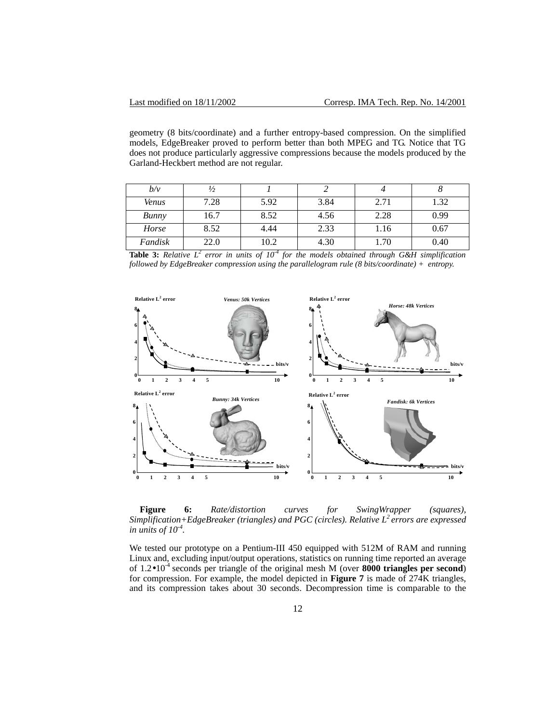geometry (8 bits/coordinate) and a further entropy-based compression. On the simplified models, EdgeBreaker proved to perform better than both MPEG and TG. Notice that TG does not produce particularly aggressive compressions because the models produced by the Garland-Heckbert method are not regular.

| b/v          |      |      |      |      |      |
|--------------|------|------|------|------|------|
| <b>Venus</b> | 7.28 | 5.92 | 3.84 | 2.71 | 1.32 |
| Bunny        | 16.7 | 8.52 | 4.56 | 2.28 | 0.99 |
| Horse        | 8.52 | 4.44 | 2.33 | 1.16 | 0.67 |
| Fandisk      | 22.0 | 10.2 | 4.30 | .70  | 0.40 |

**Table 3:** Relative  $L^2$  error in units of  $10^4$  for the models obtained through G&H simplification *followed by EdgeBreaker compression using the parallelogram rule (8 bits/coordinate) + entropy.* 

<span id="page-11-0"></span>

**Figure 6:** *Rate/distortion curves for SwingWrapper (squares), Simplification+EdgeBreaker (triangles) and PGC (circles). Relative L2 errors are expressed in units of 10-4.*

We tested our prototype on a Pentium-III 450 equipped with 512M of RAM and running Linux and, excluding input/output operations, statistics on running time reported an average of 1.2•10<sup>-4</sup> seconds per triangle of the original mesh M (over **8000 triangles per second**) for compression. For example, the model depicted in **[Figure 7](#page-12-0)** is made of 274K triangles, and its compression takes about 30 seconds. Decompression time is comparable to the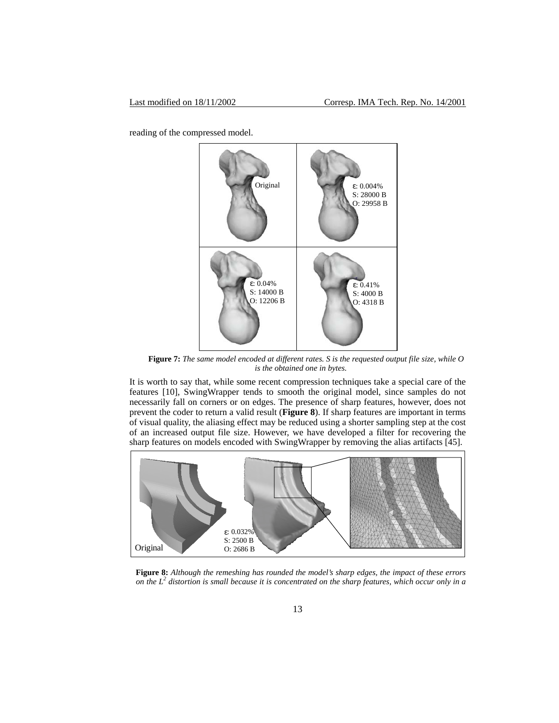<span id="page-12-0"></span>reading of the compressed model.



**Figure 7:** *The same model encoded at different rates. S is the requested output file size, while O is the obtained one in bytes.*

It is worth to say that, while some recent compression techniques take a special care of the features [\[10\],](#page-15-11) SwingWrapper tends to smooth the original model, since samples do not necessarily fall on corners or on edges. The presence of sharp features, however, does not prevent the coder to return a valid result (**[Figure 8](#page-12-1)**). If sharp features are important in terms of visual quality, the aliasing effect may be reduced using a shorter sampling step at the cost of an increased output file size. However, we have developed a filter for recovering the sharp features on models encoded with SwingWrapper by removing the alias artifacts [\[45\].](#page-17-5)

<span id="page-12-1"></span>

**Figure 8:** *Although the remeshing has rounded the model's sharp edges, the impact of these errors on the L2 distortion is small because it is concentrated on the sharp features, which occur only in a*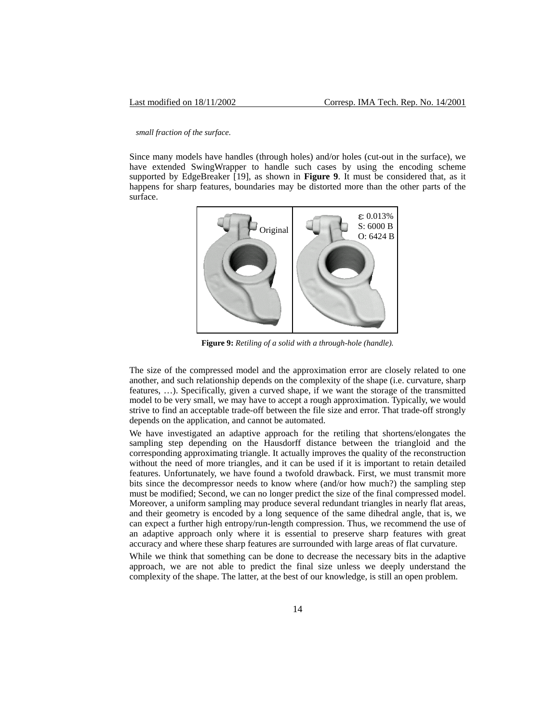#### *small fraction of the surface.*

Since many models have handles (through holes) and/or holes (cut-out in the surface), we have extended SwingWrapper to handle such cases by using the encoding scheme supported by EdgeBreaker [\[19\],](#page-16-0) as shown in **[Figure 9](#page-13-0)**. It must be considered that, as it happens for sharp features, boundaries may be distorted more than the other parts of the surface.

<span id="page-13-0"></span>

**Figure 9:** *Retiling of a solid with a through-hole (handle).* 

The size of the compressed model and the approximation error are closely related to one another, and such relationship depends on the complexity of the shape (i.e. curvature, sharp features, …). Specifically, given a curved shape, if we want the storage of the transmitted model to be very small, we may have to accept a rough approximation. Typically, we would strive to find an acceptable trade-off between the file size and error. That trade-off strongly depends on the application, and cannot be automated.

We have investigated an adaptive approach for the retiling that shortens/elongates the sampling step depending on the Hausdorff distance between the triangloid and the corresponding approximating triangle. It actually improves the quality of the reconstruction without the need of more triangles, and it can be used if it is important to retain detailed features. Unfortunately, we have found a twofold drawback. First, we must transmit more bits since the decompressor needs to know where (and/or how much?) the sampling step must be modified; Second, we can no longer predict the size of the final compressed model. Moreover, a uniform sampling may produce several redundant triangles in nearly flat areas, and their geometry is encoded by a long sequence of the same dihedral angle, that is, we can expect a further high entropy/run-length compression. Thus, we recommend the use of an adaptive approach only where it is essential to preserve sharp features with great accuracy and where these sharp features are surrounded with large areas of flat curvature.

While we think that something can be done to decrease the necessary bits in the adaptive approach, we are not able to predict the final size unless we deeply understand the complexity of the shape. The latter, at the best of our knowledge, is still an open problem.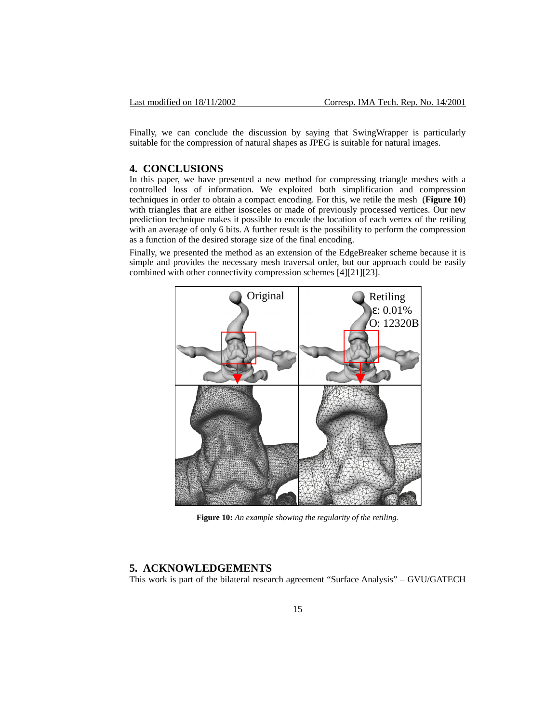Finally, we can conclude the discussion by saying that SwingWrapper is particularly suitable for the compression of natural shapes as JPEG is suitable for natural images.

## **4. CONCLUSIONS**

In this paper, we have presented a new method for compressing triangle meshes with a controlled loss of information. We exploited both simplification and compression techniques in order to obtain a compact encoding. For this, we retile the mesh (**[Figure 10](#page-14-0)**) with triangles that are either isosceles or made of previously processed vertices. Our new prediction technique makes it possible to encode the location of each vertex of the retiling with an average of only 6 bits. A further result is the possibility to perform the compression as a function of the desired storage size of the final encoding.

Finally, we presented the method as an extension of the EdgeBreaker scheme because it is simple and provides the necessary mesh traversal order, but our approach could be easily combined with other connectivity compression schemes [\[4\]](#page-15-3)[\[21\]](#page-16-2)[\[23\].](#page-16-3)

<span id="page-14-0"></span>

**Figure 10:** *An example showing the regularity of the retiling.* 

# **5. ACKNOWLEDGEMENTS**

This work is part of the bilateral research agreement "Surface Analysis" – GVU/GATECH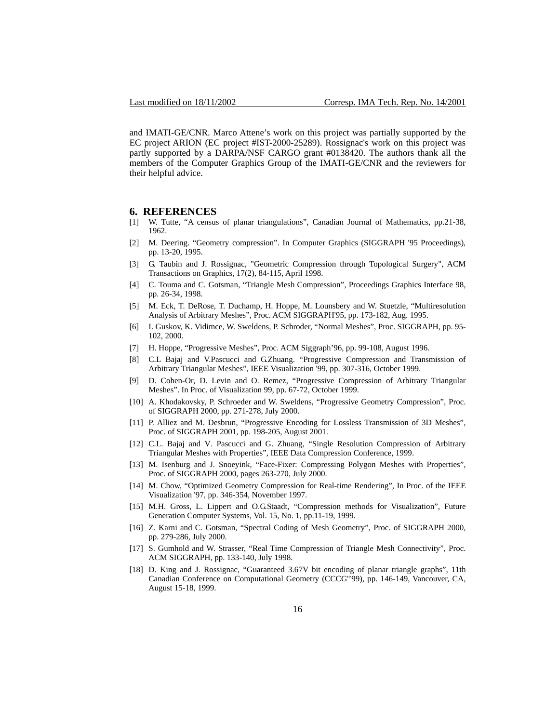and IMATI-GE/CNR. Marco Attene's work on this project was partially supported by the EC project ARION (EC project #IST-2000-25289). Rossignac's work on this project was partly supported by a DARPA/NSF CARGO grant #0138420. The authors thank all the members of the Computer Graphics Group of the IMATI-GE/CNR and the reviewers for their helpful advice.

#### **6. REFERENCES**

- <span id="page-15-0"></span>[1] W. Tutte, "A census of planar triangulations", Canadian Journal of Mathematics, pp.21-38, 1962.
- <span id="page-15-5"></span>[2] M. Deering. "Geometry compression". In Computer Graphics (SIGGRAPH '95 Proceedings), pp. 13-20, 1995.
- <span id="page-15-2"></span>[3] G. Taubin and J. Rossignac, "Geometric Compression through Topological Surgery", ACM Transactions on Graphics, 17(2), 84-115, April 1998.
- <span id="page-15-3"></span>[4] C. Touma and C. Gotsman, "Triangle Mesh Compression", Proceedings Graphics Interface 98, pp. 26-34, 1998.
- <span id="page-15-6"></span>[5] M. Eck, T. DeRose, T. Duchamp, H. Hoppe, M. Lounsbery and W. Stuetzle, "Multiresolution Analysis of Arbitrary Meshes", Proc. ACM SIGGRAPH'95, pp. 173-182, Aug. 1995.
- <span id="page-15-7"></span>[6] I. Guskov, K. Vidimce, W. Sweldens, P. Schroder, "Normal Meshes", Proc. SIGGRAPH, pp. 95- 102, 2000.
- <span id="page-15-8"></span>[7] H. Hoppe, "Progressive Meshes", Proc. ACM Siggraph'96, pp. 99-108, August 1996.
- <span id="page-15-9"></span>[8] C.L Bajaj and V.Pascucci and G.Zhuang. "Progressive Compression and Transmission of Arbitrary Triangular Meshes", IEEE Visualization '99, pp. 307-316, October 1999.
- <span id="page-15-10"></span>[9] D. Cohen-Or, D. Levin and O. Remez, "Progressive Compression of Arbitrary Triangular Meshes". In Proc. of Visualization 99, pp. 67-72, October 1999.
- <span id="page-15-11"></span>[10] A. Khodakovsky, P. Schroeder and W. Sweldens, "Progressive Geometry Compression", Proc. of SIGGRAPH 2000, pp. 271-278, July 2000.
- <span id="page-15-12"></span>[11] P. Alliez and M. Desbrun, "Progressive Encoding for Lossless Transmission of 3D Meshes", Proc. of SIGGRAPH 2001, pp. 198-205, August 2001.
- <span id="page-15-13"></span>[12] C.L. Bajaj and V. Pascucci and G. Zhuang, "Single Resolution Compression of Arbitrary Triangular Meshes with Properties", IEEE Data Compression Conference, 1999.
- <span id="page-15-14"></span>[13] M. Isenburg and J. Snoeyink, "Face-Fixer: Compressing Polygon Meshes with Properties", Proc. of SIGGRAPH 2000, pages 263-270, July 2000.
- <span id="page-15-15"></span>[14] M. Chow, "Optimized Geometry Compression for Real-time Rendering", In Proc. of the IEEE Visualization '97, pp. 346-354, November 1997.
- <span id="page-15-16"></span>[15] M.H. Gross, L. Lippert and O.G.Staadt, "Compression methods for Visualization", Future Generation Computer Systems, Vol. 15, No. 1, pp.11-19, 1999.
- <span id="page-15-17"></span>[16] Z. Karni and C. Gotsman, "Spectral Coding of Mesh Geometry", Proc. of SIGGRAPH 2000, pp. 279-286, July 2000.
- <span id="page-15-1"></span>[17] S. Gumhold and W. Strasser, "Real Time Compression of Triangle Mesh Connectivity", Proc. ACM SIGGRAPH, pp. 133-140, July 1998.
- <span id="page-15-4"></span>[18] D. King and J. Rossignac, "Guaranteed 3.67V bit encoding of planar triangle graphs", 11th Canadian Conference on Computational Geometry (CCCG''99), pp. 146-149, Vancouver, CA, August 15-18, 1999.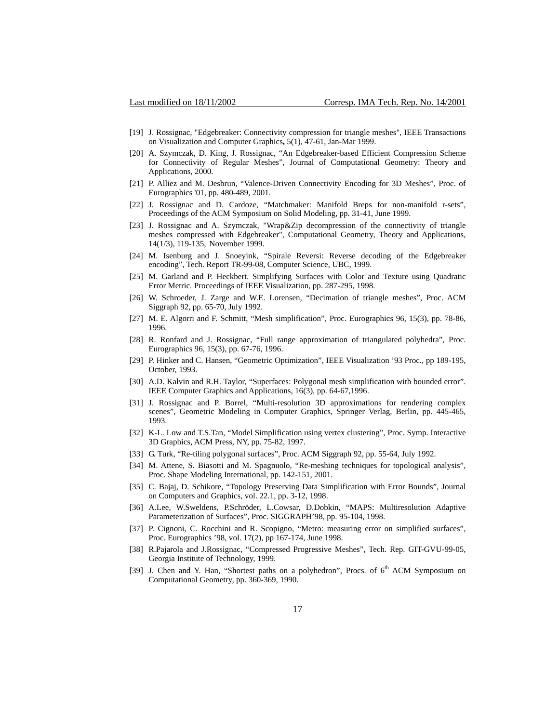- <span id="page-16-0"></span>[19] J. Rossignac, "Edgebreaker: Connectivity compression for triangle meshes", IEEE Transactions on Visualization and Computer Graphics**,** 5(1), 47-61, Jan-Mar 1999.
- <span id="page-16-1"></span>[20] A. Szymczak, D. King, J. Rossignac, "An Edgebreaker-based Efficient Compression Scheme for Connectivity of Regular Meshes", Journal of Computational Geometry: Theory and Applications, 2000.
- <span id="page-16-2"></span>[21] P. Alliez and M. Desbrun, "Valence-Driven Connectivity Encoding for 3D Meshes", Proc. of Eurographics '01, pp. 480-489, 2001.
- <span id="page-16-8"></span>[22] J. Rossignac and D. Cardoze, "Matchmaker: Manifold Breps for non-manifold r-sets", Proceedings of the ACM Symposium on Solid Modeling, pp. 31-41, June 1999.
- <span id="page-16-3"></span>[23] J. Rossignac and A. Szymczak, "Wrap&Zip decompression of the connectivity of triangle meshes compressed with Edgebreaker", Computational Geometry, Theory and Applications, 14(1/3), 119-135, November 1999.
- <span id="page-16-7"></span>[24] M. Isenburg and J. Snoeyink, "Spirale Reversi: Reverse decoding of the Edgebreaker encoding", Tech. Report TR-99-08, Computer Science, UBC, 1999.
- <span id="page-16-9"></span>[25] M. Garland and P. Heckbert. Simplifying Surfaces with Color and Texture using Quadratic Error Metric. Proceedings of IEEE Visualization, pp. 287-295, 1998.
- <span id="page-16-10"></span>[26] W. Schroeder, J. Zarge and W.E. Lorensen, "Decimation of triangle meshes", Proc. ACM Siggraph 92, pp. 65-70, July 1992.
- <span id="page-16-11"></span>[27] M. E. Algorri and F. Schmitt, "Mesh simplification", Proc. Eurographics 96, 15(3), pp. 78-86, 1996.
- <span id="page-16-12"></span>[28] R. Ronfard and J. Rossignac, "Full range approximation of triangulated polyhedra", Proc. Eurographics 96, 15(3), pp. 67-76, 1996.
- <span id="page-16-13"></span>[29] P. Hinker and C. Hansen, "Geometric Optimization", IEEE Visualization '93 Proc., pp 189-195, October, 1993.
- <span id="page-16-14"></span>[30] A.D. Kalvin and R.H. Taylor, "Superfaces: Polygonal mesh simplification with bounded error". IEEE Computer Graphics and Applications, 16(3), pp. 64-67,1996.
- <span id="page-16-15"></span>[31] J. Rossignac and P. Borrel, "Multi-resolution 3D approximations for rendering complex scenes", Geometric Modeling in Computer Graphics, Springer Verlag, Berlin, pp. 445-465, 1993.
- <span id="page-16-16"></span>[32] K-L. Low and T.S.Tan, "Model Simplification using vertex clustering", Proc. Symp. Interactive 3D Graphics, ACM Press, NY, pp. 75-82, 1997.
- <span id="page-16-4"></span>[33] G. Turk, "Re-tiling polygonal surfaces", Proc. ACM Siggraph 92, pp. 55-64, July 1992.
- <span id="page-16-5"></span>[34] M. Attene, S. Biasotti and M. Spagnuolo, "Re-meshing techniques for topological analysis", Proc. Shape Modeling International, pp. 142-151, 2001.
- <span id="page-16-17"></span>[35] C. Bajaj, D. Schikore, "Topology Preserving Data Simplification with Error Bounds", Journal on Computers and Graphics, vol. 22.1, pp. 3-12, 1998.
- <span id="page-16-6"></span>[36] A.Lee, W.Sweldens, P.Schröder, L.Cowsar, D.Dobkin, "MAPS: Multiresolution Adaptive Parameterization of Surfaces", Proc. SIGGRAPH'98, pp. 95-104, 1998.
- <span id="page-16-18"></span>[37] P. Cignoni, C. Rocchini and R. Scopigno, "Metro: measuring error on simplified surfaces", Proc. Eurographics '98, vol. 17(2), pp 167-174, June 1998.
- <span id="page-16-20"></span>[38] R.Pajarola and J.Rossignac, "Compressed Progressive Meshes", Tech. Rep. GIT-GVU-99-05, Georgia Institute of Technology, 1999.
- <span id="page-16-19"></span>[39] J. Chen and Y. Han, "Shortest paths on a polyhedron", Procs. of 6<sup>th</sup> ACM Symposium on Computational Geometry, pp. 360-369, 1990.